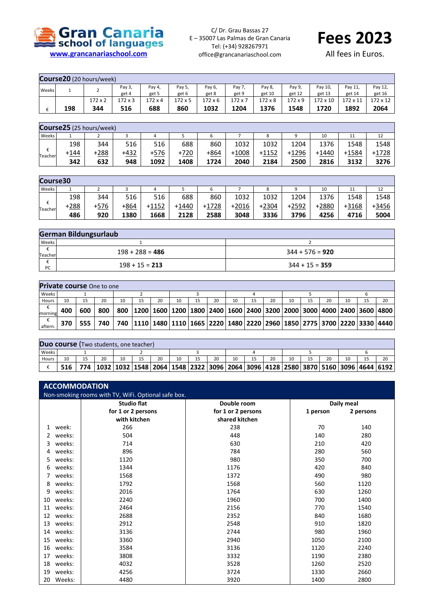

C/ Dr. Grau Bassas 27 E – 35007 Las Palmas de Gran Canaria Tel: (+34) 928267971 office@grancanariaschool.com



All fees in Euros.

|       | <b>Course20</b> (20 hours/week) |                |         |         |               |               |         |         |         |          |          |          |
|-------|---------------------------------|----------------|---------|---------|---------------|---------------|---------|---------|---------|----------|----------|----------|
| Weeks |                                 |                | Pay 3,  | Pay 4,  | Pay 5,        | Pay 6,        | Pay 7,  | Pay 8,  | Pay 9   | Pay 10,  | Pay 11,  | Pay 12,  |
|       |                                 | ∸              | get 4   | get 5   | get 6         | get 8         | get 9   | get 10  | get 12  | get 13   | get 14   | get 16   |
|       |                                 | $172 \times 2$ | 172 x 3 | 172 x 4 | $172\times 5$ | $172\times 6$ | 172 x 7 | 172 x 8 | 172 x 9 | 172 x 10 | 172 x 11 | 172 x 12 |
|       | 198                             | 344            | 516     | 688     | 860           | 1032          | 1204    | 1376    | 1548    | 1720     | 1892     | 2064     |

|              |      | Course25 (25 hours/week) |        |      |        |      |         |         |         |         |         |         |
|--------------|------|--------------------------|--------|------|--------|------|---------|---------|---------|---------|---------|---------|
| Weeks        |      |                          |        | 4    |        | ь    |         | ٥       |         | 10      | 11      | 12      |
|              | 198  | 344                      | 516    | 516  | 688    | 860  | 1032    | 1032    | 1204    | 1376    | 1548    | 1548    |
| €<br>Teacher | +144 | +288                     | $+432$ | +576 | $+720$ | +864 | $+1008$ | $+1152$ | $+1296$ | $+1440$ | $+1584$ | $+1728$ |
|              | 342  | 632                      | 948    | 1092 | 1408   | 1724 | 2040    | 2184    | 2500    | 2816    | 3132    | 3276    |

| Course30     |        |      |      |         |         |         |         |         |         |       |       |       |
|--------------|--------|------|------|---------|---------|---------|---------|---------|---------|-------|-------|-------|
| Weeks        |        |      |      | 4       |         |         |         | 8       |         | 10    | 11    | 12    |
| €<br>Teacher | 198    | 344  | 516  | 516     | 688     | 860     | 1032    | 1032    | 1204    | 1376  | 1548  | 1548  |
|              | $+288$ | +576 | +864 | $+1152$ | $+1440$ | $+1728$ | $+2016$ | $+2304$ | $+2592$ | +2880 | +3168 | +3456 |
|              | 486    | 920  | 1380 | 1668    | 2128    | 2588    | 3048    | 3336    | 3796    | 4256  | 4716  | 5004  |

|              | German Bildungsurlaub |                   |  |  |  |  |  |  |  |  |
|--------------|-----------------------|-------------------|--|--|--|--|--|--|--|--|
| <b>Weeks</b> |                       |                   |  |  |  |  |  |  |  |  |
| Teacher      | $198 + 288 = 486$     | $344 + 576 = 920$ |  |  |  |  |  |  |  |  |
| ᠸ<br>PC      | $198 + 15 = 213$      | $344 + 15 = 359$  |  |  |  |  |  |  |  |  |

| Private course One to one |       |     |     |    |    |    |    |    |    |    |    |    |    |    |                                                                                                       |
|---------------------------|-------|-----|-----|----|----|----|----|----|----|----|----|----|----|----|-------------------------------------------------------------------------------------------------------|
| Weeks                     |       |     |     |    |    |    |    |    |    |    |    |    |    |    |                                                                                                       |
| Hours                     | 10    |     | 20  | 10 | 15 | 20 | 10 | 20 | 10 | 15 | 20 | 10 | 20 | 15 | 20                                                                                                    |
| morning                   | 400   | 600 | 800 |    |    |    |    |    |    |    |    |    |    |    | 800   1200   1600   1200   1800   2400   1600   2400   3200   2000   3000   4000   2400   3600   4800 |
| aftern.                   | 370 l | 555 | 740 |    |    |    |    |    |    |    |    |    |    |    | 740   1110   1480   1110   1665   2220   1480   2220   2960   1850   2775   3700   2220   3330   4440 |

|       |     | <b>Duo course</b> (Two students, one teacher) |  |    |    |    |  |    |  |    |    |                                                                                                                     |
|-------|-----|-----------------------------------------------|--|----|----|----|--|----|--|----|----|---------------------------------------------------------------------------------------------------------------------|
| Weeks |     |                                               |  |    |    |    |  |    |  |    |    |                                                                                                                     |
| Hours | 10  | 20                                            |  | 20 | 10 | 20 |  | 20 |  | 20 | 10 | 20                                                                                                                  |
|       | 516 |                                               |  |    |    |    |  |    |  |    |    | 774   1032   1032   1548   2064   1548   2322   3096   2064   3096   4128   2580   3870   5160   3096   4644   6192 |

|    | <b>ACCOMMODATION</b>                                |                    |                    |            |           |  |  |  |  |
|----|-----------------------------------------------------|--------------------|--------------------|------------|-----------|--|--|--|--|
|    | Non-smoking rooms with TV, WiFi. Optional safe box. |                    |                    |            |           |  |  |  |  |
|    |                                                     | <b>Studio flat</b> | Double room        | Daily meal |           |  |  |  |  |
|    |                                                     | for 1 or 2 persons | for 1 or 2 persons | 1 person   | 2 persons |  |  |  |  |
|    |                                                     | with kitchen       | shared kitchen     |            |           |  |  |  |  |
| 1  | week:                                               | 266                | 238                | 70         | 140       |  |  |  |  |
| 2  | weeks:                                              | 504                | 448                | 140        | 280       |  |  |  |  |
| 3  | weeks:                                              | 714                | 630                | 210        | 420       |  |  |  |  |
| 4  | weeks:                                              | 896                | 784                | 280        | 560       |  |  |  |  |
| 5  | weeks:                                              | 1120               | 980                | 350        | 700       |  |  |  |  |
| 6  | weeks:                                              | 1344               | 1176               | 420        | 840       |  |  |  |  |
|    | weeks:                                              | 1568               | 1372               | 490        | 980       |  |  |  |  |
| 8  | weeks:                                              | 1792               | 1568               | 560        | 1120      |  |  |  |  |
| 9  | weeks:                                              | 2016               | 1764               | 630        | 1260      |  |  |  |  |
| 10 | weeks:                                              | 2240               | 1960               | 700        | 1400      |  |  |  |  |
| 11 | weeks:                                              | 2464               | 2156               | 770        | 1540      |  |  |  |  |
| 12 | weeks:                                              | 2688               | 2352               | 840        | 1680      |  |  |  |  |
| 13 | weeks:                                              | 2912               | 2548               | 910        | 1820      |  |  |  |  |
| 14 | weeks:                                              | 3136               | 2744               | 980        | 1960      |  |  |  |  |
| 15 | weeks:                                              | 3360               | 2940               | 1050       | 2100      |  |  |  |  |
| 16 | weeks:                                              | 3584               | 3136               | 1120       | 2240      |  |  |  |  |
| 17 | weeks:                                              | 3808               | 3332               | 1190       | 2380      |  |  |  |  |
| 18 | weeks:                                              | 4032               | 3528               | 1260       | 2520      |  |  |  |  |
| 19 | weeks:                                              | 4256               | 3724               | 1330       | 2660      |  |  |  |  |
| 20 | Weeks:                                              | 4480               | 3920               | 1400       | 2800      |  |  |  |  |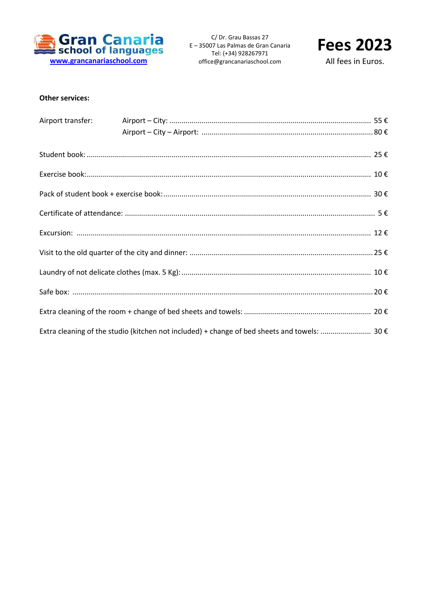

C/ Dr. Grau Bassas 27 E - 35007 Las Palmas de Gran Canaria Tel: (+34) 928267971 office@grancanariaschool.com



All fees in Euros.

## **Other services:**

| Extra cleaning of the studio (kitchen not included) + change of bed sheets and towels:  30 $\epsilon$ |
|-------------------------------------------------------------------------------------------------------|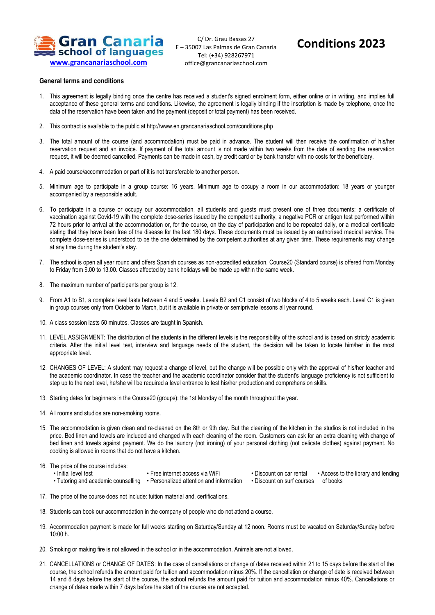

C/ Dr. Grau Bassas 27 E – 35007 Las Palmas de Gran Canaria Tel: (+34) 928267971 office@grancanariaschool.com

## **Conditions 2023**

## **General terms and conditions**

- 1. This agreement is legally binding once the centre has received a student's signed enrolment form, either online or in writing, and implies full acceptance of these general terms and conditions. Likewise, the agreement is legally binding if the inscription is made by telephone, once the data of the reservation have been taken and the payment (deposit or total payment) has been received.
- 2. This contract is available to the public at http://www.en.grancanariaschool.com/conditions.php
- 3. The total amount of the course (and accommodation) must be paid in advance. The student will then receive the confirmation of his/her reservation request and an invoice. If payment of the total amount is not made within two weeks from the date of sending the reservation request, it will be deemed cancelled. Payments can be made in cash, by credit card or by bank transfer with no costs for the beneficiary.
- 4. A paid course/accommodation or part of it is not transferable to another person.
- 5. Minimum age to participate in a group course: 16 years. Minimum age to occupy a room in our accommodation: 18 years or younger accompanied by a responsible adult.
- 6. To participate in a course or occupy our accommodation, all students and guests must present one of three documents: a certificate of vaccination against Covid-19 with the complete dose-series issued by the competent authority, a negative PCR or antigen test performed within 72 hours prior to arrival at the accommodation or, for the course, on the day of participation and to be repeated daily, or a medical certificate stating that they have been free of the disease for the last 180 days. These documents must be issued by an authorised medical service. The complete dose-series is understood to be the one determined by the competent authorities at any given time. These requirements may change at any time during the student's stay.
- 7. The school is open all year round and offers Spanish courses as non-accredited education. Course20 (Standard course) is offered from Monday to Friday from 9.00 to 13.00. Classes affected by bank holidays will be made up within the same week.
- 8. The maximum number of participants per group is 12.
- 9. From A1 to B1, a complete level lasts between 4 and 5 weeks. Levels B2 and C1 consist of two blocks of 4 to 5 weeks each. Level C1 is given in group courses only from October to March, but it is available in private or semiprivate lessons all year round.
- 10. A class session lasts 50 minutes. Classes are taught in Spanish.
- 11. LEVEL ASSIGNMENT: The distribution of the students in the different levels is the responsibility of the school and is based on strictly academic criteria. After the initial level test, interview and language needs of the student, the decision will be taken to locate him/her in the most appropriate level.
- 12. CHANGES OF LEVEL: A student may request a change of level, but the change will be possible only with the approval of his/her teacher and the academic coordinator. In case the teacher and the academic coordinator consider that the student's language proficiency is not sufficient to step up to the next level, he/she will be required a level entrance to test his/her production and comprehension skills.
- 13. Starting dates for beginners in the Course20 (groups): the 1st Monday of the month throughout the year.
- 14. All rooms and studios are non-smoking rooms.
- 15. The accommodation is given clean and re-cleaned on the 8th or 9th day. But the cleaning of the kitchen in the studios is not included in the price. Bed linen and towels are included and changed with each cleaning of the room. Customers can ask for an extra cleaning with change of bed linen and towels against payment. We do the laundry (not ironing) of your personal clothing (not delicate clothes) against payment. No cooking is allowed in rooms that do not have a kitchen.
- 16. The price of the course includes:
	- Initial level test
- Free internet access via WiFi
- Discount on car rental • Access to the library and lending
- Tutoring and academic counselling Personalized attention and information Discount on surf courses of books
- 17. The price of the course does not include: tuition material and, certifications.
- 18. Students can book our accommodation in the company of people who do not attend a course.
- 19. Accommodation payment is made for full weeks starting on Saturday/Sunday at 12 noon. Rooms must be vacated on Saturday/Sunday before 10:00 h.
- 20. Smoking or making fire is not allowed in the school or in the accommodation. Animals are not allowed.
- 21. CANCELLATIONS or CHANGE OF DATES: In the case of cancellations or change of dates received within 21 to 15 days before the start of the course, the school refunds the amount paid for tuition and accommodation minus 20%. If the cancellation or change of date is received between 14 and 8 days before the start of the course, the school refunds the amount paid for tuition and accommodation minus 40%. Cancellations or change of dates made within 7 days before the start of the course are not accepted.